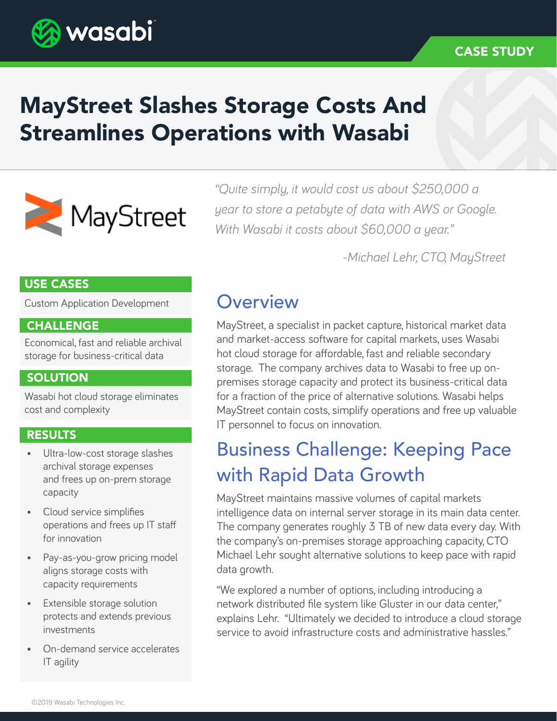

### CASE STUDY

# MayStreet Slashes Storage Costs And Streamlines Operations with Wasabi



*"Quite simply, it would cost us about \$250,000 a year to store a petabyte of data with AWS or Google. With Wasabi it costs about \$60,000 a year."* 

*-Michael Lehr, CTO, MayStreet*

### USE CASES

Custom Application Development

### CHALLENGE

Economical, fast and reliable archival storage for business-critical data

### **SOLUTION**

Wasabi hot cloud storage eliminates cost and complexity

### RESULTS

- Ultra-low-cost storage slashes archival storage expenses and frees up on-prem storage capacity
- Cloud service simplifies operations and frees up IT staff for innovation
- Pay-as-you-grow pricing model aligns storage costs with capacity requirements
- Extensible storage solution protects and extends previous investments
- On-demand service accelerates IT agility

### **Overview**

MayStreet, a specialist in packet capture, historical market data and market-access software for capital markets, uses Wasabi hot cloud storage for affordable, fast and reliable secondary storage. The company archives data to Wasabi to free up onpremises storage capacity and protect its business-critical data for a fraction of the price of alternative solutions. Wasabi helps MayStreet contain costs, simplify operations and free up valuable IT personnel to focus on innovation.

## Business Challenge: Keeping Pace with Rapid Data Growth

MayStreet maintains massive volumes of capital markets intelligence data on internal server storage in its main data center. The company generates roughly 3 TB of new data every day. With the company's on-premises storage approaching capacity, CTO Michael Lehr sought alternative solutions to keep pace with rapid data growth.

"We explored a number of options, including introducing a network distributed file system like Gluster in our data center," explains Lehr. "Ultimately we decided to introduce a cloud storage service to avoid infrastructure costs and administrative hassles."